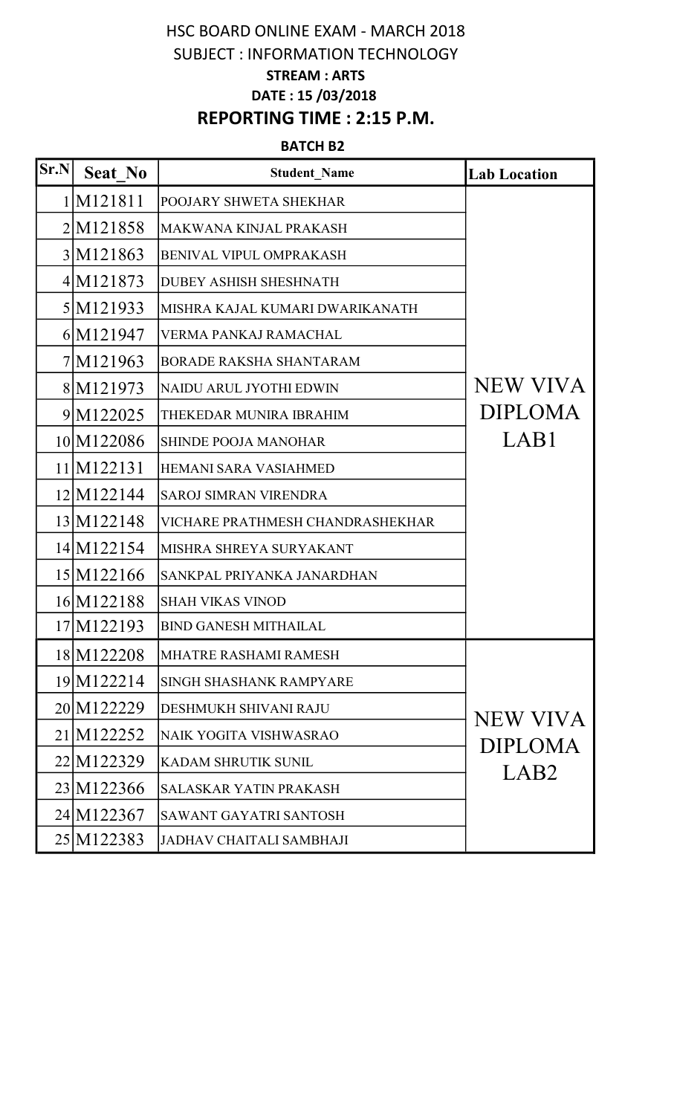# HSC BOARD ONLINE EXAM - MARCH 2018 SUBJECT : INFORMATION TECHNOLOGY STREAM : ARTS DATE : 15 /03/2018 REPORTING TIME : 2:15 P.M.

#### BATCH B2

| Sr.N | Seat No               | <b>Student Name</b>              | <b>Lab Location</b>                                   |
|------|-----------------------|----------------------------------|-------------------------------------------------------|
|      | 1 M121811             | POOJARY SHWETA SHEKHAR           |                                                       |
|      | 2M121858              | MAKWANA KINJAL PRAKASH           |                                                       |
|      | 3M121863              | BENIVAL VIPUL OMPRAKASH          |                                                       |
|      | 4M121873              | <b>DUBEY ASHISH SHESHNATH</b>    |                                                       |
|      | 5 M <sub>121933</sub> | MISHRA KAJAL KUMARI DWARIKANATH  |                                                       |
|      | 6M121947              | VERMA PANKAJ RAMACHAL            |                                                       |
|      | 7M121963              | <b>BORADE RAKSHA SHANTARAM</b>   |                                                       |
|      | 8 M <sub>121973</sub> | NAIDU ARUL JYOTHI EDWIN          | NEW VIVA                                              |
|      | 9M122025              | THEKEDAR MUNIRA IBRAHIM          | <b>DIPLOMA</b>                                        |
|      | 10 M122086            | <b>SHINDE POOJA MANOHAR</b>      | LAB1                                                  |
|      | 11 M 122131           | <b>HEMANI SARA VASIAHMED</b>     |                                                       |
|      | 12 M 122 144          | <b>SAROJ SIMRAN VIRENDRA</b>     |                                                       |
|      | 13 M 122148           | VICHARE PRATHMESH CHANDRASHEKHAR |                                                       |
|      | 14 M 122154           | MISHRA SHREYA SURYAKANT          |                                                       |
|      | 15 M122166            | SANKPAL PRIYANKA JANARDHAN       |                                                       |
|      | 16 M122188            | <b>SHAH VIKAS VINOD</b>          |                                                       |
|      | 17 M122193            | <b>BIND GANESH MITHAILAL</b>     |                                                       |
|      | 18 M122208            | MHATRE RASHAMI RAMESH            |                                                       |
|      | 19 M 1222 14          | <b>SINGH SHASHANK RAMPYARE</b>   |                                                       |
|      | 20 M122229            | <b>DESHMUKH SHIVANI RAJU</b>     |                                                       |
|      | 21 M122252            | NAIK YOGITA VISHWASRAO           | <b>NEW VIVA</b><br><b>DIPLOMA</b><br>LAB <sub>2</sub> |
|      | 22M122329             | <b>KADAM SHRUTIK SUNIL</b>       |                                                       |
|      | 23 M122366            | <b>SALASKAR YATIN PRAKASH</b>    |                                                       |
|      | 24 M122367            | <b>SAWANT GAYATRI SANTOSH</b>    |                                                       |
|      | 25 M122383            | JADHAV CHAITALI SAMBHAJI         |                                                       |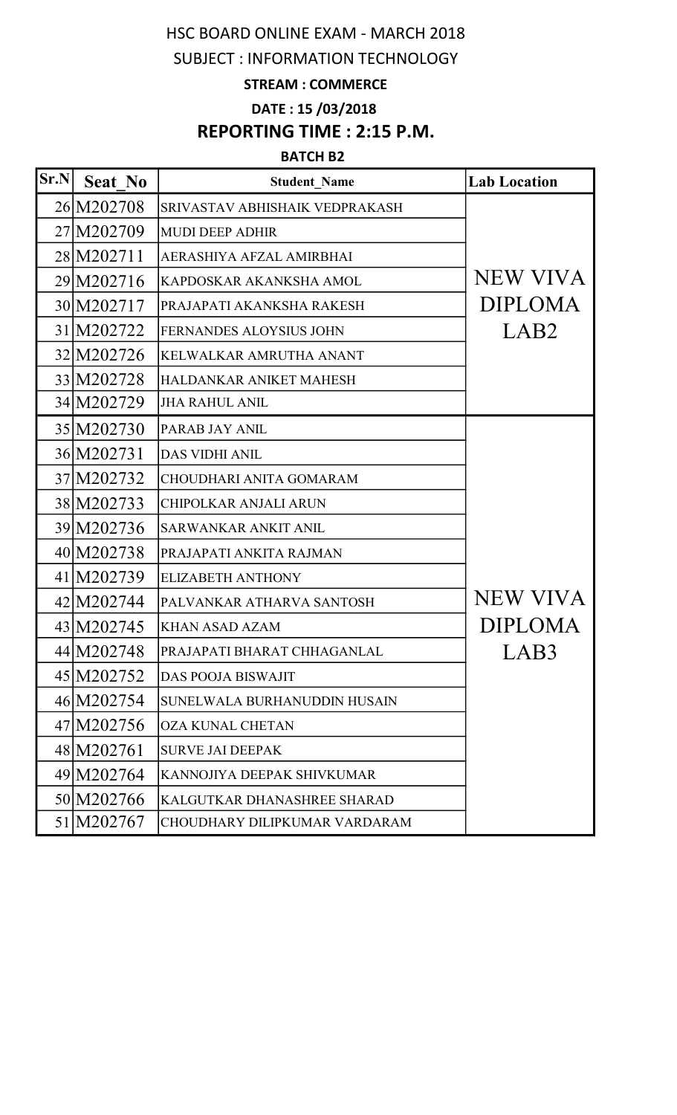# HSC BOARD ONLINE EXAM - MARCH 2018

## SUBJECT : INFORMATION TECHNOLOGY

### STREAM : COMMERCE

DATE : 15 /03/2018

# REPORTING TIME : 2:15 P.M.

#### BATCH B2

| $\vert$ Sr.N $\vert$ | <b>Seat No</b> | <b>Student Name</b>            | <b>Lab Location</b> |
|----------------------|----------------|--------------------------------|---------------------|
|                      | 26 M202708     | SRIVASTAV ABHISHAIK VEDPRAKASH |                     |
|                      | 27 M202709     | <b>MUDI DEEP ADHIR</b>         |                     |
|                      | 28 M202711     | AERASHIYA AFZAL AMIRBHAI       |                     |
|                      | 29 M202716     | KAPDOSKAR AKANKSHA AMOL        | NEW VIVA            |
|                      | 30 M202717     | PRAJAPATI AKANKSHA RAKESH      | <b>DIPLOMA</b>      |
|                      | 31 M202722     | <b>FERNANDES ALOYSIUS JOHN</b> | LAB <sub>2</sub>    |
|                      | 32 M202726     | KELWALKAR AMRUTHA ANANT        |                     |
|                      | 33 M202728     | HALDANKAR ANIKET MAHESH        |                     |
|                      | 34 M202729     | <b>JHA RAHUL ANIL</b>          |                     |
|                      | 35 M202730     | PARAB JAY ANIL                 |                     |
|                      | 36 M202731     | <b>DAS VIDHI ANIL</b>          |                     |
|                      | 37 M202732     | <b>CHOUDHARI ANITA GOMARAM</b> |                     |
|                      | 38 M202733     | <b>CHIPOLKAR ANJALI ARUN</b>   |                     |
|                      | 39 M202736     | SARWANKAR ANKIT ANIL           |                     |
|                      | 40 M202738     | PRAJAPATI ANKITA RAJMAN        |                     |
|                      | 41 M202739     | <b>ELIZABETH ANTHONY</b>       |                     |
|                      | 42 M202744     | PALVANKAR ATHARVA SANTOSH      | <b>NEW VIVA</b>     |
|                      | 43 M202745     | <b>KHAN ASAD AZAM</b>          | <b>DIPLOMA</b>      |
|                      | 44 M202748     | PRAJAPATI BHARAT CHHAGANLAL    | LAB3                |
|                      | 45 M202752     | <b>DAS POOJA BISWAJIT</b>      |                     |
|                      | 46 M202754     | SUNELWALA BURHANUDDIN HUSAIN   |                     |
|                      | 47 M202756     | <b>OZA KUNAL CHETAN</b>        |                     |
|                      | 48 M202761     | <b>SURVE JAI DEEPAK</b>        |                     |
|                      | 49 M202764     | KANNOJIYA DEEPAK SHIVKUMAR     |                     |
|                      | 50 M202766     | KALGUTKAR DHANASHREE SHARAD    |                     |
|                      | 51 M202767     | CHOUDHARY DILIPKUMAR VARDARAM  |                     |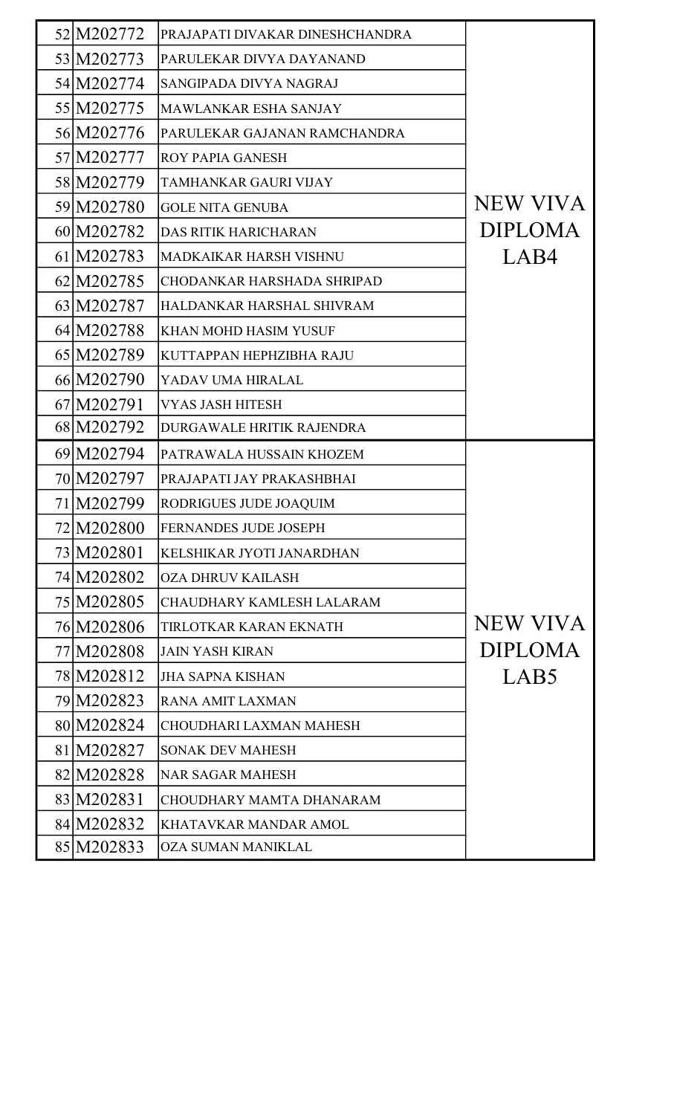| 52 M202772   | PRAJAPATI DIVAKAR DINESHCHANDRA   |                 |
|--------------|-----------------------------------|-----------------|
| 53 M202773   | PARULEKAR DIVYA DAYANAND          |                 |
| 54 M202774   | SANGIPADA DIVYA NAGRAJ            |                 |
| 55 M202775   | MAWLANKAR ESHA SANJAY             |                 |
| 56 M202776   | PARULEKAR GAJANAN RAMCHANDRA      |                 |
| 57 M202777   | <b>ROY PAPIA GANESH</b>           |                 |
| 58 M202779   | <b>TAMHANKAR GAURI VIJAY</b>      |                 |
| 59 M202780   | <b>GOLE NITA GENUBA</b>           | <b>NEW VIVA</b> |
| 60 M202782   | <b>DAS RITIK HARICHARAN</b>       | <b>DIPLOMA</b>  |
| 61 M202783   | <b>MADKAIKAR HARSH VISHNU</b>     | LAB4            |
| 62 M202785   | <b>CHODANKAR HARSHADA SHRIPAD</b> |                 |
| 63 M202787   | HALDANKAR HARSHAL SHIVRAM         |                 |
| 64 M202788   | <b>KHAN MOHD HASIM YUSUF</b>      |                 |
| 65 M202789   | KUTTAPPAN HEPHZIBHA RAJU          |                 |
| 66 M202790   | YADAV UMA HIRALAL                 |                 |
| 67 M202791   | <b>VYAS JASH HITESH</b>           |                 |
| 68 M202792   | DURGAWALE HRITIK RAJENDRA         |                 |
| 69 M202794   | PATRAWALA HUSSAIN KHOZEM          |                 |
| 70 M202797   | PRAJAPATI JAY PRAKASHBHAI         |                 |
| 71 M202799   | RODRIGUES JUDE JOAQUIM            |                 |
| 72 M202800   | <b>FERNANDES JUDE JOSEPH</b>      |                 |
| 73 M202801   | KELSHIKAR JYOTI JANARDHAN         |                 |
| 74 M202802   | <b>OZA DHRUV KAILASH</b>          |                 |
| 75 M202805   | CHAUDHARY KAMLESH LALARAM         |                 |
| 76 M202806   | TIRLOTKAR KARAN EKNATH            | <b>NEW VIVA</b> |
| 77 M202808   | <b>JAIN YASH KIRAN</b>            | <b>DIPLOMA</b>  |
| 78 M 2028 12 | <b>JHA SAPNA KISHAN</b>           | LAB5            |
| 79 M202823   | <b>RANA AMIT LAXMAN</b>           |                 |
| 80 M202824   | CHOUDHARI LAXMAN MAHESH           |                 |
| 81 M202827   | <b>SONAK DEV MAHESH</b>           |                 |
| 82 M202828   | <b>NAR SAGAR MAHESH</b>           |                 |
| 83 M202831   | <b>CHOUDHARY MAMTA DHANARAM</b>   |                 |
| 84 M202832   | KHATAVKAR MANDAR AMOL             |                 |
| 85 M202833   | <b>OZA SUMAN MANIKLAL</b>         |                 |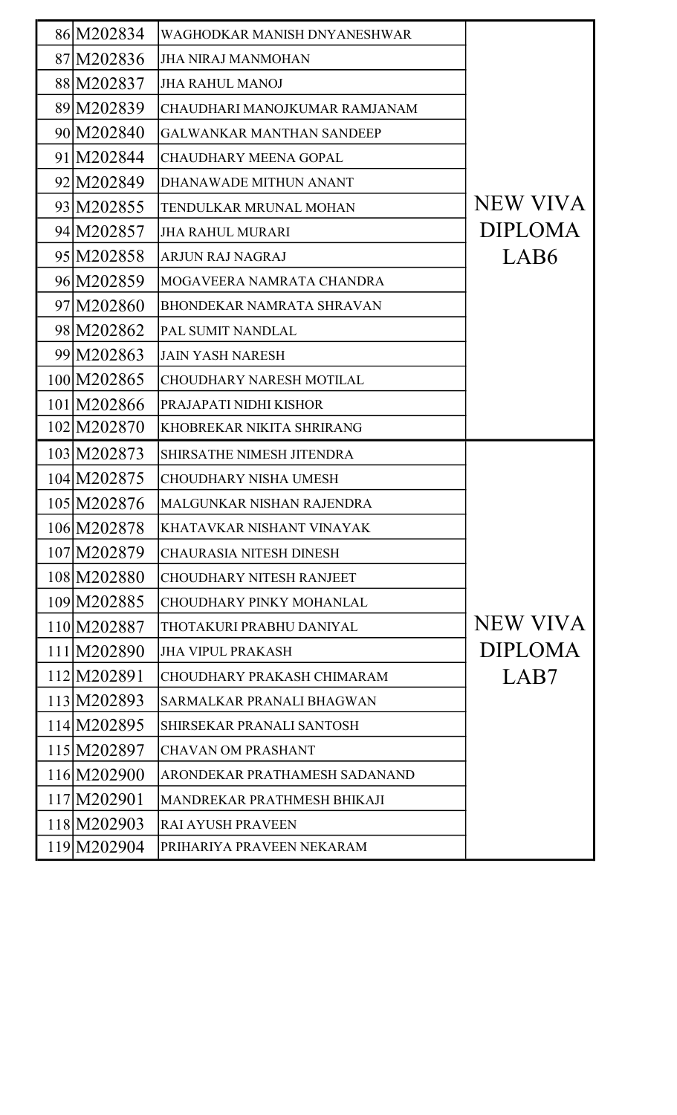| 86 M202834  | WAGHODKAR MANISH DNYANESHWAR     |                 |
|-------------|----------------------------------|-----------------|
| 87 M202836  | <b>JHA NIRAJ MANMOHAN</b>        |                 |
| 88 M202837  | <b>JHA RAHUL MANOJ</b>           |                 |
| 89 M202839  | CHAUDHARI MANOJKUMAR RAMJANAM    |                 |
| 90 M202840  | <b>GALWANKAR MANTHAN SANDEEP</b> |                 |
| 91 M202844  | <b>CHAUDHARY MEENA GOPAL</b>     |                 |
| 92 M202849  | DHANAWADE MITHUN ANANT           |                 |
| 93 M202855  | TENDULKAR MRUNAL MOHAN           | <b>NEW VIVA</b> |
| 94 M202857  | <b>JHA RAHUL MURARI</b>          | <b>DIPLOMA</b>  |
| 95 M202858  | <b>ARJUN RAJ NAGRAJ</b>          | LAB6            |
| 96 M202859  | MOGAVEERA NAMRATA CHANDRA        |                 |
| 97 M202860  | <b>BHONDEKAR NAMRATA SHRAVAN</b> |                 |
| 98 M202862  | PAL SUMIT NANDLAL                |                 |
| 99 M202863  | <b>JAIN YASH NARESH</b>          |                 |
| 100 M202865 | <b>CHOUDHARY NARESH MOTILAL</b>  |                 |
| 101 M202866 | PRAJAPATI NIDHI KISHOR           |                 |
| 102 M202870 | KHOBREKAR NIKITA SHRIRANG        |                 |
| 103 M202873 | SHIRSATHE NIMESH JITENDRA        |                 |
| 104 M202875 | <b>CHOUDHARY NISHA UMESH</b>     |                 |
| 105 M202876 | MALGUNKAR NISHAN RAJENDRA        |                 |
| 106 M202878 | KHATAVKAR NISHANT VINAYAK        |                 |
| 107 M202879 | <b>CHAURASIA NITESH DINESH</b>   |                 |
| 108 M202880 | <b>CHOUDHARY NITESH RANJEET</b>  |                 |
| 109 M202885 | CHOUDHARY PINKY MOHANLAL         |                 |
| 110 M202887 | THOTAKURI PRABHU DANIYAL         | <b>NEW VIVA</b> |
| 111 M202890 | <b>JHA VIPUL PRAKASH</b>         | <b>DIPLOMA</b>  |
| 112 M202891 | CHOUDHARY PRAKASH CHIMARAM       | LAB7            |
| 113 M202893 | SARMALKAR PRANALI BHAGWAN        |                 |
| 114 M202895 | SHIRSEKAR PRANALI SANTOSH        |                 |
| 115 M202897 | <b>CHAVAN OM PRASHANT</b>        |                 |
| 116 M202900 | ARONDEKAR PRATHAMESH SADANAND    |                 |
| 117 M202901 | MANDREKAR PRATHMESH BHIKAJI      |                 |
| 118 M202903 | <b>RAI AYUSH PRAVEEN</b>         |                 |
| 119 M202904 | PRIHARIYA PRAVEEN NEKARAM        |                 |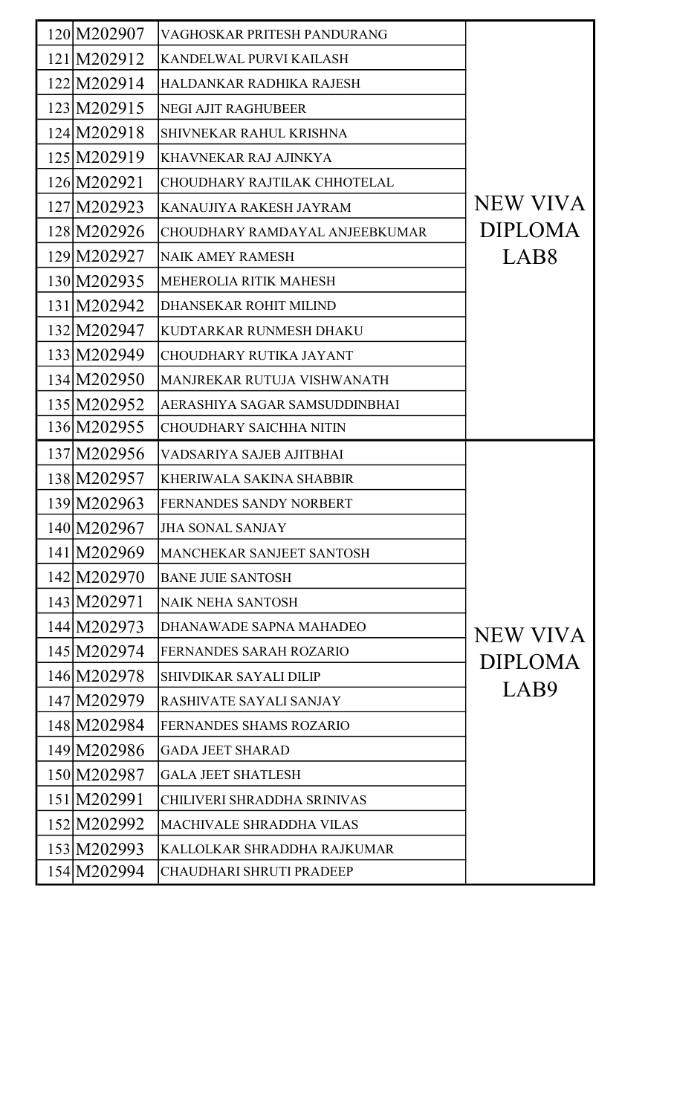| 120 M202907 | VAGHOSKAR PRITESH PANDURANG     |                  |
|-------------|---------------------------------|------------------|
| 121 M202912 | KANDELWAL PURVI KAILASH         |                  |
| 122 M202914 | HALDANKAR RADHIKA RAJESH        |                  |
| 123 M202915 | <b>NEGI AJIT RAGHUBEER</b>      |                  |
| 124 M202918 | SHIVNEKAR RAHUL KRISHNA         |                  |
| 125 M202919 | KHAVNEKAR RAJ AJINKYA           |                  |
| 126 M202921 | CHOUDHARY RAJTILAK CHHOTELAL    |                  |
| 127 M202923 | KANAUJIYA RAKESH JAYRAM         | NEW VIVA         |
| 128 M202926 | CHOUDHARY RAMDAYAL ANJEEBKUMAR  | <b>DIPLOMA</b>   |
| 129 M202927 | <b>NAIK AMEY RAMESH</b>         | LAB <sub>8</sub> |
| 130 M202935 | MEHEROLIA RITIK MAHESH          |                  |
| 131 M202942 | DHANSEKAR ROHIT MILIND          |                  |
| 132 M202947 | KUDTARKAR RUNMESH DHAKU         |                  |
| 133 M202949 | <b>CHOUDHARY RUTIKA JAYANT</b>  |                  |
| 134 M202950 | MANJREKAR RUTUJA VISHWANATH     |                  |
| 135 M202952 | AERASHIYA SAGAR SAMSUDDINBHAI   |                  |
| 136 M202955 | <b>CHOUDHARY SAICHHA NITIN</b>  |                  |
| 137 M202956 | VADSARIYA SAJEB AJITBHAI        |                  |
| 138 M202957 | KHERIWALA SAKINA SHABBIR        |                  |
| 139 M202963 | FERNANDES SANDY NORBERT         |                  |
| 140 M202967 | <b>JHA SONAL SANJAY</b>         |                  |
| 141 M202969 | MANCHEKAR SANJEET SANTOSH       |                  |
| 142 M202970 | <b>BANE JUIE SANTOSH</b>        |                  |
| 143 M202971 | <b>NAIK NEHA SANTOSH</b>        |                  |
| 144 M202973 | DHANAWADE SAPNA MAHADEO         | NEW VIVA         |
| 145 M202974 | <b>FERNANDES SARAH ROZARIO</b>  | <b>DIPLOMA</b>   |
| 146 M202978 | <b>SHIVDIKAR SAYALI DILIP</b>   |                  |
| 147 M202979 | <b>RASHIVATE SAYALI SANJAY</b>  | LAB9             |
| 148 M202984 | FERNANDES SHAMS ROZARIO         |                  |
| 149 M202986 | <b>GADA JEET SHARAD</b>         |                  |
| 150 M202987 | <b>GALA JEET SHATLESH</b>       |                  |
| 151 M202991 | CHILIVERI SHRADDHA SRINIVAS     |                  |
| 152 M202992 | <b>MACHIVALE SHRADDHA VILAS</b> |                  |
| 153 M202993 | KALLOLKAR SHRADDHA RAJKUMAR     |                  |
| 154 M202994 | CHAUDHARI SHRUTI PRADEEP        |                  |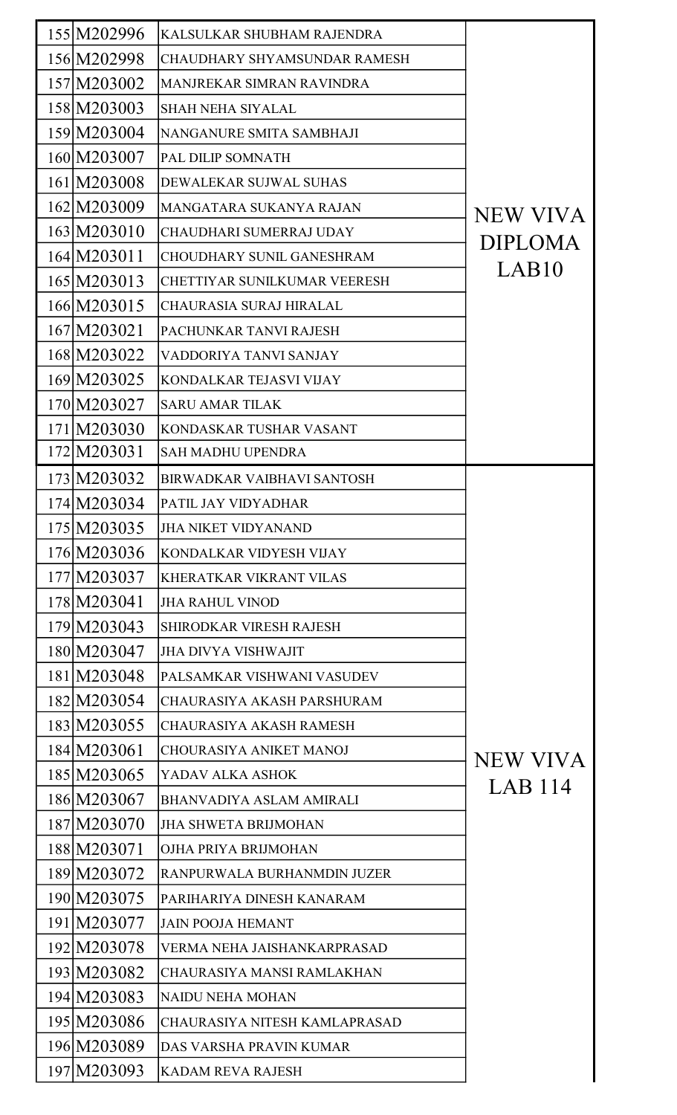| 155 M202996 | KALSULKAR SHUBHAM RAJENDRA          |                   |
|-------------|-------------------------------------|-------------------|
| 156 M202998 | <b>CHAUDHARY SHYAMSUNDAR RAMESH</b> |                   |
| 157 M203002 | MANJREKAR SIMRAN RAVINDRA           |                   |
| 158 M203003 | <b>SHAH NEHA SIYALAL</b>            |                   |
| 159 M203004 | NANGANURE SMITA SAMBHAJI            |                   |
| 160 M203007 | PAL DILIP SOMNATH                   |                   |
| 161 M203008 | DEWALEKAR SUJWAL SUHAS              |                   |
| 162 M203009 | MANGATARA SUKANYA RAJAN             | NEW VIVA          |
| 163 M203010 | CHAUDHARI SUMERRAJ UDAY             | <b>DIPLOMA</b>    |
| 164 M203011 | <b>CHOUDHARY SUNIL GANESHRAM</b>    |                   |
| 165 M203013 | <b>CHETTIYAR SUNILKUMAR VEERESH</b> | LAB <sub>10</sub> |
| 166 M203015 | <b>CHAURASIA SURAJ HIRALAL</b>      |                   |
| 167 M203021 | PACHUNKAR TANVI RAJESH              |                   |
| 168 M203022 | VADDORIYA TANVI SANJAY              |                   |
| 169 M203025 | KONDALKAR TEJASVI VIJAY             |                   |
| 170 M203027 | <b>SARU AMAR TILAK</b>              |                   |
| 171 M203030 | KONDASKAR TUSHAR VASANT             |                   |
| 172 M203031 | <b>SAH MADHU UPENDRA</b>            |                   |
| 173 M203032 | <b>BIRWADKAR VAIBHAVI SANTOSH</b>   |                   |
| 174 M203034 | PATIL JAY VIDYADHAR                 |                   |
| 175 M203035 | <b>JHA NIKET VIDYANAND</b>          |                   |
| 176 M203036 | KONDALKAR VIDYESH VIJAY             |                   |
| 177 M203037 | <b>KHERATKAR VIKRANT VILAS</b>      |                   |
| 178 M203041 | <b>JHA RAHUL VINOD</b>              |                   |
| 179 M203043 | <b>SHIRODKAR VIRESH RAJESH</b>      |                   |
| 180 M203047 | <b>JHA DIVYA VISHWAJIT</b>          |                   |
| 181 M203048 | PALSAMKAR VISHWANI VASUDEV          |                   |
| 182 M203054 | CHAURASIYA AKASH PARSHURAM          |                   |
| 183 M203055 | CHAURASIYA AKASH RAMESH             |                   |
| 184 M203061 | <b>CHOURASIYA ANIKET MANOJ</b>      | NEW VIVA          |
| 185 M203065 | YADAV ALKA ASHOK                    | LAB 114           |
| 186 M203067 | <b>BHANVADIYA ASLAM AMIRALI</b>     |                   |
| 187 M203070 | <b>JHA SHWETA BRIJMOHAN</b>         |                   |
| 188 M203071 | OJHA PRIYA BRIJMOHAN                |                   |
| 189 M203072 | RANPURWALA BURHANMDIN JUZER         |                   |
| 190 M203075 | PARIHARIYA DINESH KANARAM           |                   |
| 191 M203077 | <b>JAIN POOJA HEMANT</b>            |                   |
| 192 M203078 | VERMA NEHA JAISHANKARPRASAD         |                   |
| 193 M203082 | CHAURASIYA MANSI RAMLAKHAN          |                   |
| 194 M203083 | NAIDU NEHA MOHAN                    |                   |
| 195 M203086 | CHAURASIYA NITESH KAMLAPRASAD       |                   |
| 196 M203089 | DAS VARSHA PRAVIN KUMAR             |                   |
| 197 M203093 | <b>KADAM REVA RAJESH</b>            |                   |
|             |                                     |                   |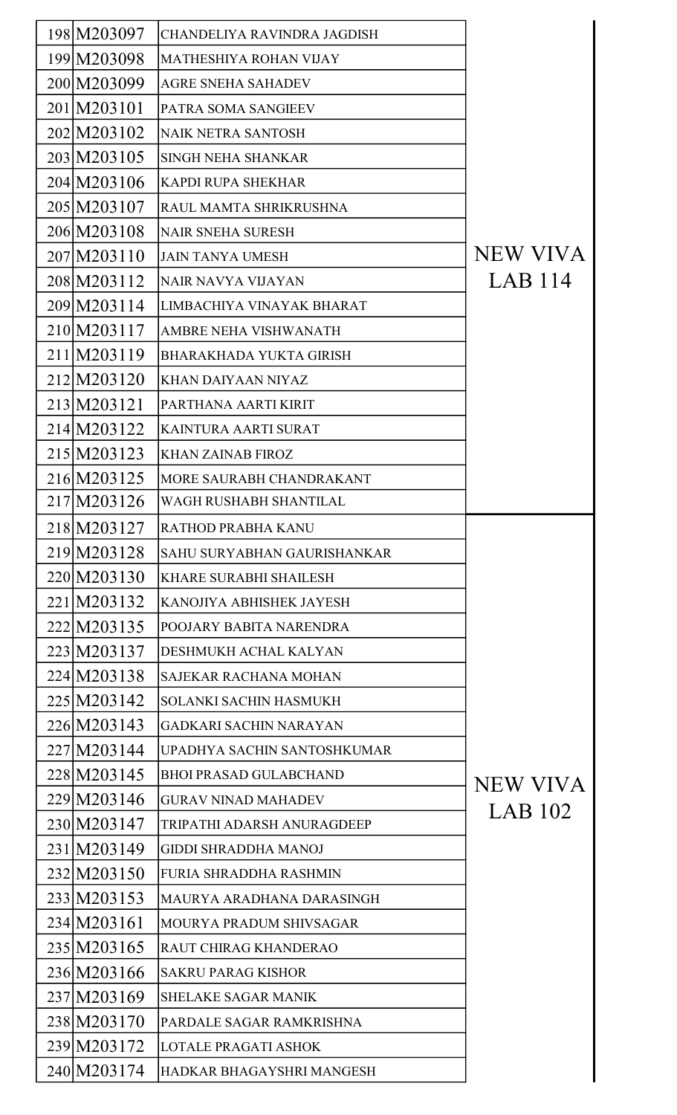| 198 M203097 | CHANDELIYA RAVINDRA JAGDISH        |                 |
|-------------|------------------------------------|-----------------|
| 199 M203098 | <b>MATHESHIYA ROHAN VIJAY</b>      |                 |
| 200 M203099 | <b>AGRE SNEHA SAHADEV</b>          |                 |
| 201 M203101 | PATRA SOMA SANGIEEV                |                 |
| 202 M203102 | NAIK NETRA SANTOSH                 |                 |
| 203 M203105 | <b>SINGH NEHA SHANKAR</b>          |                 |
| 204 M203106 | <b>KAPDI RUPA SHEKHAR</b>          |                 |
| 205 M203107 | RAUL MAMTA SHRIKRUSHNA             |                 |
| 206 M203108 | <b>NAIR SNEHA SURESH</b>           |                 |
| 207 M203110 | <b>JAIN TANYA UMESH</b>            | <b>NEW VIVA</b> |
| 208 M203112 | NAIR NAVYA VIJAYAN                 | LAB 114         |
| 209 M203114 | LIMBACHIYA VINAYAK BHARAT          |                 |
| 210 M203117 | AMBRE NEHA VISHWANATH              |                 |
| 211 M203119 | <b>BHARAKHADA YUKTA GIRISH</b>     |                 |
| 212 M203120 | <b>KHAN DAIYAAN NIYAZ</b>          |                 |
| 213 M203121 | PARTHANA AARTI KIRIT               |                 |
| 214 M203122 | KAINTURA AARTI SURAT               |                 |
| 215 M203123 | <b>KHAN ZAINAB FIROZ</b>           |                 |
| 216 M203125 | MORE SAURABH CHANDRAKANT           |                 |
| 217 M203126 | WAGH RUSHABH SHANTILAL             |                 |
| 218 M203127 | <b>RATHOD PRABHA KANU</b>          |                 |
| 219 M203128 | <b>SAHU SURYABHAN GAURISHANKAR</b> |                 |
| 220 M203130 | <b>KHARE SURABHI SHAILESH</b>      |                 |
| 221 M203132 | <b>KANOJIYA ABHISHEK JAYESH</b>    |                 |
| 222 M203135 | POOJARY BABITA NARENDRA            |                 |
| 223 M203137 | <b>DESHMUKH ACHAL KALYAN</b>       |                 |
| 224 M203138 | <b>SAJEKAR RACHANA MOHAN</b>       |                 |
| 225 M203142 | <b>SOLANKI SACHIN HASMUKH</b>      |                 |
| 226 M203143 | <b>GADKARI SACHIN NARAYAN</b>      |                 |
| 227 M203144 | UPADHYA SACHIN SANTOSHKUMAR        |                 |
| 228 M203145 | <b>BHOI PRASAD GULABCHAND</b>      | NEW VIVA        |
| 229 M203146 | <b>GURAV NINAD MAHADEV</b>         |                 |
| 230 M203147 | TRIPATHI ADARSH ANURAGDEEP         | LAB 102         |
| 231 M203149 | <b>GIDDI SHRADDHA MANOJ</b>        |                 |
| 232 M203150 | <b>FURIA SHRADDHA RASHMIN</b>      |                 |
| 233 M203153 | MAURYA ARADHANA DARASINGH          |                 |
| 234 M203161 | <b>MOURYA PRADUM SHIVSAGAR</b>     |                 |
| 235 M203165 | <b>RAUT CHIRAG KHANDERAO</b>       |                 |
| 236 M203166 | <b>SAKRU PARAG KISHOR</b>          |                 |
| 237 M203169 | <b>SHELAKE SAGAR MANIK</b>         |                 |
| 238 M203170 | PARDALE SAGAR RAMKRISHNA           |                 |
| 239 M203172 | <b>LOTALE PRAGATI ASHOK</b>        |                 |
| 240 M203174 | HADKAR BHAGAYSHRI MANGESH          |                 |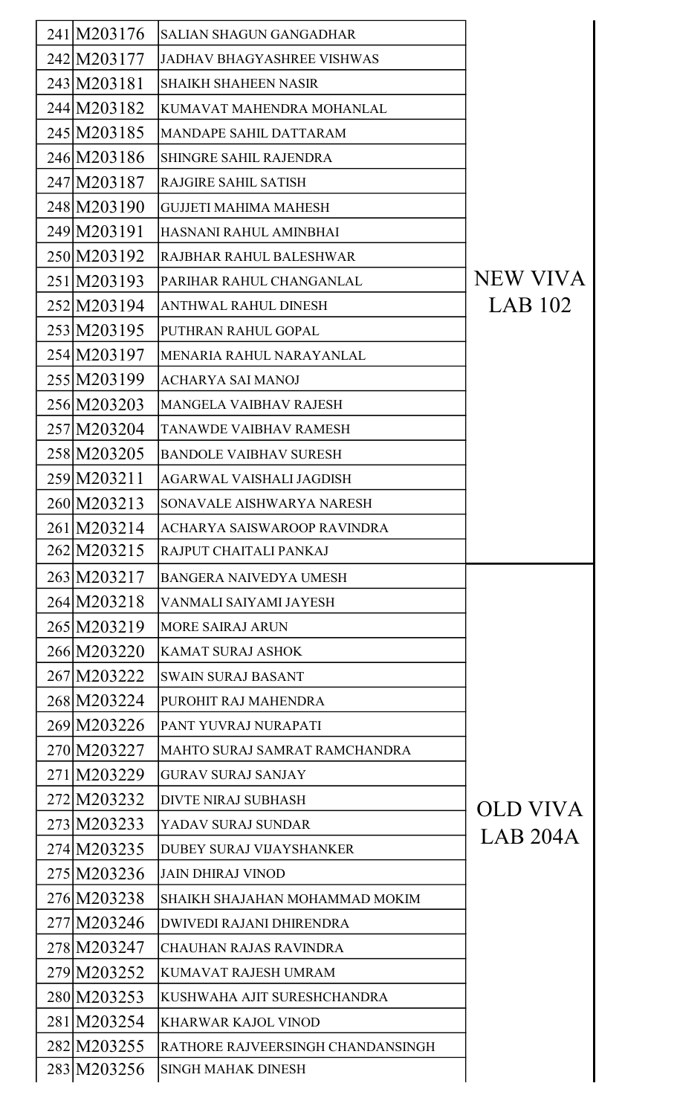| 241 M203176 | <b>SALIAN SHAGUN GANGADHAR</b>    |          |
|-------------|-----------------------------------|----------|
| 242 M203177 | <b>JADHAV BHAGYASHREE VISHWAS</b> |          |
| 243 M203181 | <b>SHAIKH SHAHEEN NASIR</b>       |          |
| 244 M203182 | KUMAVAT MAHENDRA MOHANLAL         |          |
| 245 M203185 | MANDAPE SAHIL DATTARAM            |          |
| 246 M203186 | <b>SHINGRE SAHIL RAJENDRA</b>     |          |
| 247 M203187 | <b>RAJGIRE SAHIL SATISH</b>       |          |
| 248 M203190 | <b>GUJJETI MAHIMA MAHESH</b>      |          |
| 249 M203191 | HASNANI RAHUL AMINBHAI            |          |
| 250 M203192 | RAJBHAR RAHUL BALESHWAR           |          |
| 251 M203193 | PARIHAR RAHUL CHANGANLAL          | NEW VIVA |
| 252 M203194 | <b>ANTHWAL RAHUL DINESH</b>       | LAB 102  |
| 253 M203195 | PUTHRAN RAHUL GOPAL               |          |
| 254 M203197 | MENARIA RAHUL NARAYANLAL          |          |
| 255 M203199 | <b>ACHARYA SAI MANOJ</b>          |          |
| 256 M203203 | <b>MANGELA VAIBHAV RAJESH</b>     |          |
| 257 M203204 | TANAWDE VAIBHAV RAMESH            |          |
| 258 M203205 | <b>BANDOLE VAIBHAV SURESH</b>     |          |
| 259 M203211 | AGARWAL VAISHALI JAGDISH          |          |
| 260 M203213 | SONAVALE AISHWARYA NARESH         |          |
| 261 M203214 | ACHARYA SAISWAROOP RAVINDRA       |          |
| 262 M203215 | RAJPUT CHAITALI PANKAJ            |          |
| 263 M203217 | <b>BANGERA NAIVEDYA UMESH</b>     |          |
| 264 M203218 | VANMALI SAIYAMI JAYESH            |          |
| 265 M203219 | <b>MORE SAIRAJ ARUN</b>           |          |
| 266 M203220 | <b>KAMAT SURAJ ASHOK</b>          |          |
| 267 M203222 | <b>SWAIN SURAJ BASANT</b>         |          |
| 268 M203224 | PUROHIT RAJ MAHENDRA              |          |
| 269 M203226 | PANT YUVRAJ NURAPATI              |          |
| 270 M203227 | MAHTO SURAJ SAMRAT RAMCHANDRA     |          |
| 271 M203229 | <b>GURAV SURAJ SANJAY</b>         |          |
| 272 M203232 | <b>DIVTE NIRAJ SUBHASH</b>        | OLD VIVA |
| 273 M203233 | YADAV SURAJ SUNDAR                | LAB 204A |
| 274 M203235 | <b>DUBEY SURAJ VIJAYSHANKER</b>   |          |
| 275 M203236 | <b>JAIN DHIRAJ VINOD</b>          |          |
| 276 M203238 | SHAIKH SHAJAHAN MOHAMMAD MOKIM    |          |
| 277 M203246 | <b>DWIVEDI RAJANI DHIRENDRA</b>   |          |
| 278 M203247 | <b>CHAUHAN RAJAS RAVINDRA</b>     |          |
| 279 M203252 | KUMAVAT RAJESH UMRAM              |          |
| 280 M203253 | KUSHWAHA AJIT SURESHCHANDRA       |          |
| 281 M203254 | KHARWAR KAJOL VINOD               |          |
| 282 M203255 | RATHORE RAJVEERSINGH CHANDANSINGH |          |
| 283 M203256 | <b>SINGH MAHAK DINESH</b>         |          |
|             |                                   |          |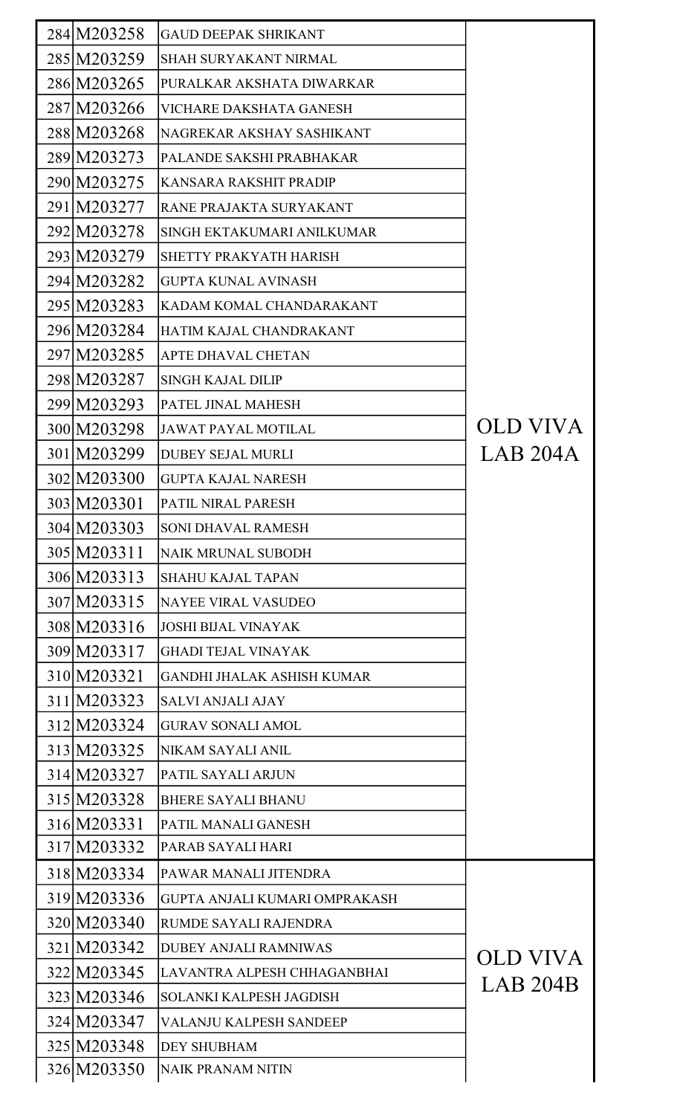| 284 M203258 | <b>GAUD DEEPAK SHRIKANT</b>       |          |
|-------------|-----------------------------------|----------|
| 285 M203259 | <b>SHAH SURYAKANT NIRMAL</b>      |          |
| 286 M203265 | PURALKAR AKSHATA DIWARKAR         |          |
| 287 M203266 | VICHARE DAKSHATA GANESH           |          |
| 288 M203268 | NAGREKAR AKSHAY SASHIKANT         |          |
| 289 M203273 | PALANDE SAKSHI PRABHAKAR          |          |
| 290 M203275 | KANSARA RAKSHIT PRADIP            |          |
| 291 M203277 | RANE PRAJAKTA SURYAKANT           |          |
| 292 M203278 | SINGH EKTAKUMARI ANILKUMAR        |          |
| 293 M203279 | SHETTY PRAKYATH HARISH            |          |
| 294 M203282 | <b>GUPTA KUNAL AVINASH</b>        |          |
| 295 M203283 | KADAM KOMAL CHANDARAKANT          |          |
| 296 M203284 | HATIM KAJAL CHANDRAKANT           |          |
| 297 M203285 | <b>APTE DHAVAL CHETAN</b>         |          |
| 298 M203287 | <b>SINGH KAJAL DILIP</b>          |          |
| 299 M203293 | PATEL JINAL MAHESH                |          |
| 300 M203298 | <b>JAWAT PAYAL MOTILAL</b>        | OLD VIVA |
| 301 M203299 | <b>DUBEY SEJAL MURLI</b>          | LAB 204A |
| 302 M203300 | <b>GUPTA KAJAL NARESH</b>         |          |
| 303 M203301 | PATIL NIRAL PARESH                |          |
| 304 M203303 | <b>SONI DHAVAL RAMESH</b>         |          |
| 305 M203311 | <b>NAIK MRUNAL SUBODH</b>         |          |
| 306 M203313 | <b>SHAHU KAJAL TAPAN</b>          |          |
| 307 M203315 | <b>NAYEE VIRAL VASUDEO</b>        |          |
| 308 M203316 | <b>JOSHI BIJAL VINAYAK</b>        |          |
| 309 M203317 | <b>GHADI TEJAL VINAYAK</b>        |          |
| 310 M203321 | <b>GANDHI JHALAK ASHISH KUMAR</b> |          |
| 311 M203323 | <b>SALVI ANJALI AJAY</b>          |          |
| 312 M203324 | <b>GURAV SONALI AMOL</b>          |          |
| 313 M203325 | NIKAM SAYALI ANIL                 |          |
| 314 M203327 | PATIL SAYALI ARJUN                |          |
| 315 M203328 | <b>BHERE SAYALI BHANU</b>         |          |
| 316 M203331 | PATIL MANALI GANESH               |          |
| 317 M203332 | PARAB SAYALI HARI                 |          |
| 318 M203334 | PAWAR MANALI JITENDRA             |          |
| 319 M203336 | GUPTA ANJALI KUMARI OMPRAKASH     |          |
| 320 M203340 | RUMDE SAYALI RAJENDRA             |          |
| 321 M203342 | <b>DUBEY ANJALI RAMNIWAS</b>      | OLD VIVA |
| 322 M203345 | LAVANTRA ALPESH CHHAGANBHAI       | LAB 204B |
| 323 M203346 | SOLANKI KALPESH JAGDISH           |          |
| 324 M203347 | VALANJU KALPESH SANDEEP           |          |
| 325 M203348 | <b>DEY SHUBHAM</b>                |          |
| 326 M203350 | <b>NAIK PRANAM NITIN</b>          |          |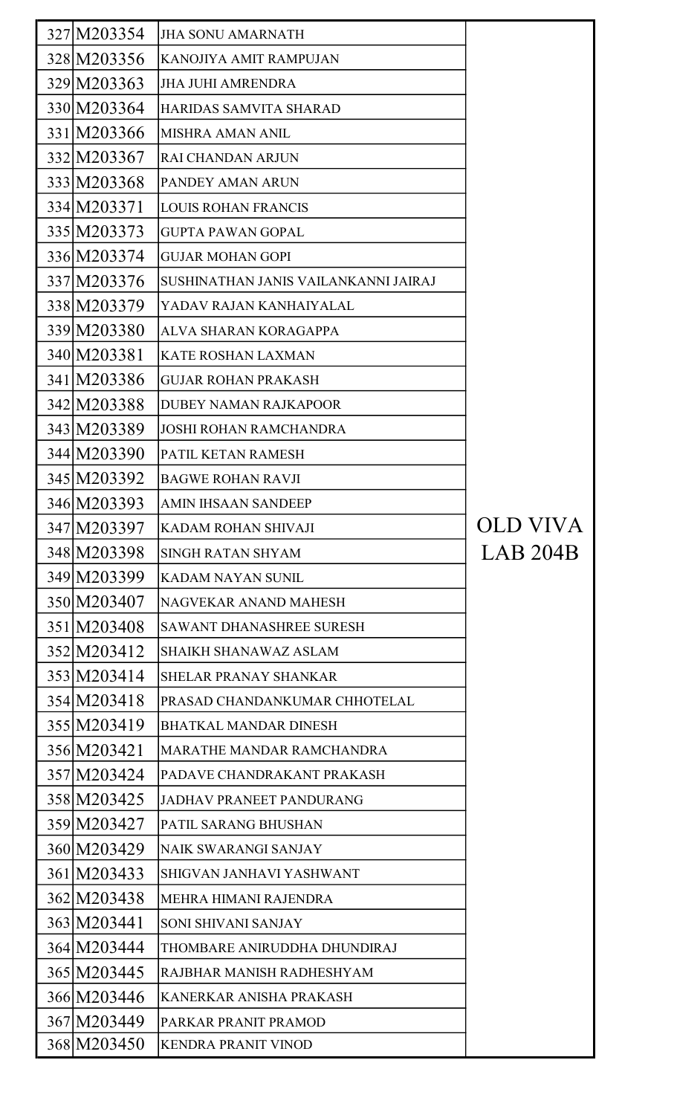| 327 M203354 | <b>JHA SONU AMARNATH</b>             |          |
|-------------|--------------------------------------|----------|
| 328 M203356 | KANOJIYA AMIT RAMPUJAN               |          |
| 329 M203363 | <b>JHA JUHI AMRENDRA</b>             |          |
| 330 M203364 | HARIDAS SAMVITA SHARAD               |          |
| 331 M203366 | <b>MISHRA AMAN ANIL</b>              |          |
| 332 M203367 | <b>RAI CHANDAN ARJUN</b>             |          |
| 333 M203368 | PANDEY AMAN ARUN                     |          |
| 334 M203371 | <b>LOUIS ROHAN FRANCIS</b>           |          |
| 335 M203373 | <b>GUPTA PAWAN GOPAL</b>             |          |
| 336 M203374 | <b>GUJAR MOHAN GOPI</b>              |          |
| 337 M203376 | SUSHINATHAN JANIS VAILANKANNI JAIRAJ |          |
| 338 M203379 | YADAV RAJAN KANHAIYALAL              |          |
| 339 M203380 | ALVA SHARAN KORAGAPPA                |          |
| 340 M203381 | <b>KATE ROSHAN LAXMAN</b>            |          |
| 341 M203386 | <b>GUJAR ROHAN PRAKASH</b>           |          |
| 342 M203388 | <b>DUBEY NAMAN RAJKAPOOR</b>         |          |
| 343 M203389 | <b>JOSHI ROHAN RAMCHANDRA</b>        |          |
| 344 M203390 | PATIL KETAN RAMESH                   |          |
| 345 M203392 | <b>BAGWE ROHAN RAVJI</b>             |          |
| 346 M203393 | <b>AMIN IHSAAN SANDEEP</b>           |          |
| 347 M203397 | KADAM ROHAN SHIVAJI                  | OLD VIVA |
| 348 M203398 | <b>SINGH RATAN SHYAM</b>             | LAB 204B |
| 349 M203399 | <b>KADAM NAYAN SUNIL</b>             |          |
| 350 M203407 | NAGVEKAR ANAND MAHESH                |          |
| 351 M203408 | <b>SAWANT DHANASHREE SURESH</b>      |          |
| 352 M203412 | <b>SHAIKH SHANAWAZ ASLAM</b>         |          |
| 353 M203414 | <b>SHELAR PRANAY SHANKAR</b>         |          |
| 354 M203418 | PRASAD CHANDANKUMAR CHHOTELAL        |          |
| 355 M203419 | <b>BHATKAL MANDAR DINESH</b>         |          |
| 356 M203421 | <b>MARATHE MANDAR RAMCHANDRA</b>     |          |
| 357 M203424 | PADAVE CHANDRAKANT PRAKASH           |          |
| 358 M203425 | <b>JADHAV PRANEET PANDURANG</b>      |          |
| 359 M203427 | PATIL SARANG BHUSHAN                 |          |
| 360 M203429 | NAIK SWARANGI SANJAY                 |          |
| 361 M203433 | SHIGVAN JANHAVI YASHWANT             |          |
| 362 M203438 | MEHRA HIMANI RAJENDRA                |          |
| 363 M203441 | SONI SHIVANI SANJAY                  |          |
| 364 M203444 | THOMBARE ANIRUDDHA DHUNDIRAJ         |          |
| 365 M203445 | RAJBHAR MANISH RADHESHYAM            |          |
| 366 M203446 | KANERKAR ANISHA PRAKASH              |          |
| 367 M203449 | PARKAR PRANIT PRAMOD                 |          |
| 368 M203450 | <b>KENDRA PRANIT VINOD</b>           |          |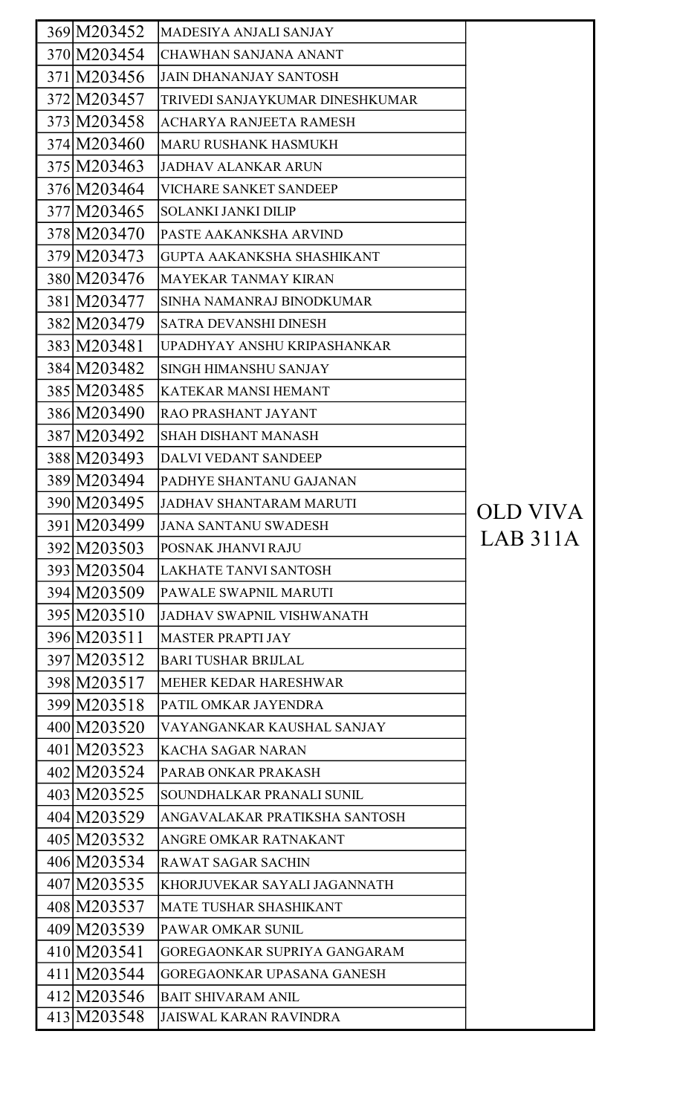| 369 M203452 | MADESIYA ANJALI SANJAY            |          |
|-------------|-----------------------------------|----------|
| 370 M203454 | <b>CHAWHAN SANJANA ANANT</b>      |          |
| 371 M203456 | JAIN DHANANJAY SANTOSH            |          |
| 372 M203457 | TRIVEDI SANJAYKUMAR DINESHKUMAR   |          |
| 373 M203458 | ACHARYA RANJEETA RAMESH           |          |
| 374 M203460 | MARU RUSHANK HASMUKH              |          |
| 375 M203463 | <b>JADHAV ALANKAR ARUN</b>        |          |
| 376 M203464 | <b>VICHARE SANKET SANDEEP</b>     |          |
| 377 M203465 | <b>SOLANKI JANKI DILIP</b>        |          |
| 378 M203470 | PASTE AAKANKSHA ARVIND            |          |
| 379 M203473 | <b>GUPTA AAKANKSHA SHASHIKANT</b> |          |
| 380 M203476 | <b>MAYEKAR TANMAY KIRAN</b>       |          |
| 381 M203477 | SINHA NAMANRAJ BINODKUMAR         |          |
| 382 M203479 | <b>SATRA DEVANSHI DINESH</b>      |          |
| 383 M203481 | UPADHYAY ANSHU KRIPASHANKAR       |          |
| 384 M203482 | <b>SINGH HIMANSHU SANJAY</b>      |          |
| 385 M203485 | <b>KATEKAR MANSI HEMANT</b>       |          |
| 386 M203490 | <b>RAO PRASHANT JAYANT</b>        |          |
| 387 M203492 | <b>SHAH DISHANT MANASH</b>        |          |
| 388 M203493 | <b>DALVI VEDANT SANDEEP</b>       |          |
| 389 M203494 | PADHYE SHANTANU GAJANAN           |          |
| 390 M203495 | JADHAV SHANTARAM MARUTI           |          |
| 391 M203499 | <b>JANA SANTANU SWADESH</b>       |          |
| 392 M203503 | POSNAK JHANVI RAJU                | LAB 311A |
| 393 M203504 | LAKHATE TANVI SANTOSH             |          |
| 394 M203509 | PAWALE SWAPNIL MARUTI             |          |
| 395 M203510 | JADHAV SWAPNIL VISHWANATH         |          |
| 396 M203511 | <b>MASTER PRAPTI JAY</b>          |          |
| 397 M203512 | <b>BARI TUSHAR BRIJLAL</b>        |          |
| 398 M203517 | <b>MEHER KEDAR HARESHWAR</b>      |          |
| 399 M203518 | PATIL OMKAR JAYENDRA              |          |
| 400 M203520 | VAYANGANKAR KAUSHAL SANJAY        |          |
| 401 M203523 | <b>KACHA SAGAR NARAN</b>          |          |
| 402 M203524 | PARAB ONKAR PRAKASH               |          |
| 403 M203525 | SOUNDHALKAR PRANALI SUNIL         |          |
| 404 M203529 | ANGAVALAKAR PRATIKSHA SANTOSH     |          |
| 405 M203532 | <b>ANGRE OMKAR RATNAKANT</b>      |          |
| 406 M203534 | <b>RAWAT SAGAR SACHIN</b>         |          |
| 407 M203535 | KHORJUVEKAR SAYALI JAGANNATH      |          |
| 408 M203537 | <b>MATE TUSHAR SHASHIKANT</b>     |          |
| 409 M203539 | PAWAR OMKAR SUNIL                 |          |
| 410 M203541 | GOREGAONKAR SUPRIYA GANGARAM      |          |
| 411 M203544 | <b>GOREGAONKAR UPASANA GANESH</b> |          |
| 412 M203546 | <b>BAIT SHIVARAM ANIL</b>         |          |
| 413 M203548 | JAISWAL KARAN RAVINDRA            |          |